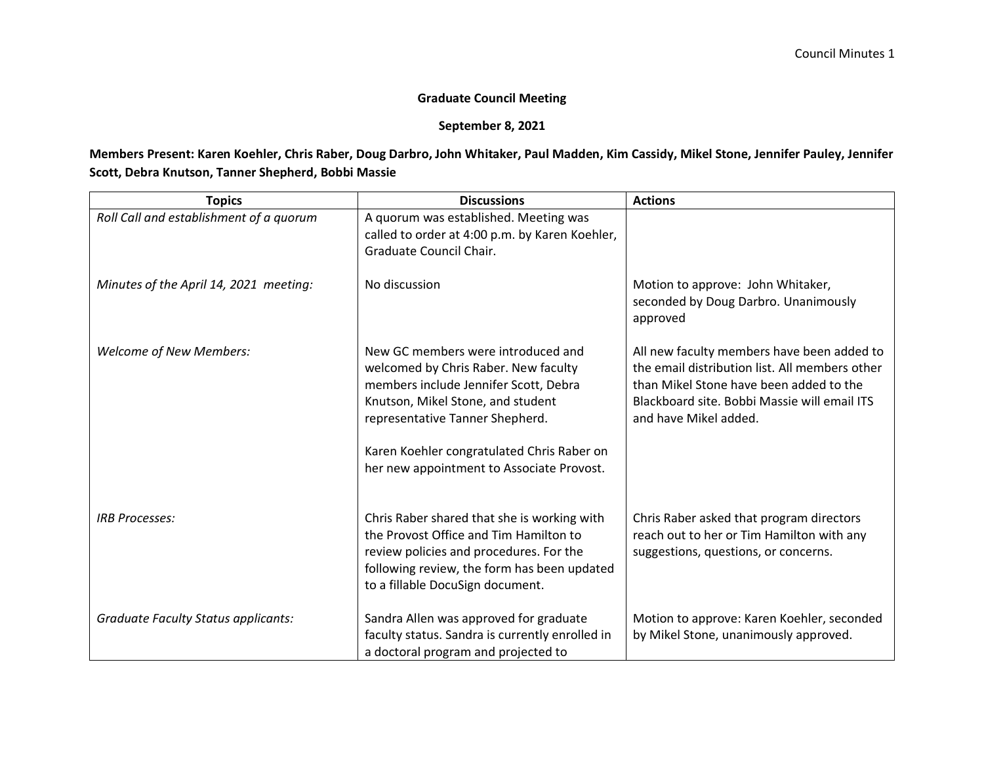## **Graduate Council Meeting**

## **September 8, 2021**

## **Members Present: Karen Koehler, Chris Raber, Doug Darbro, John Whitaker, Paul Madden, Kim Cassidy, Mikel Stone, Jennifer Pauley, Jennifer Scott, Debra Knutson, Tanner Shepherd, Bobbi Massie**

| <b>Topics</b>                              | <b>Discussions</b>                                                                                                                                                                                                                                                                     | <b>Actions</b>                                                                                                                                                                                                   |
|--------------------------------------------|----------------------------------------------------------------------------------------------------------------------------------------------------------------------------------------------------------------------------------------------------------------------------------------|------------------------------------------------------------------------------------------------------------------------------------------------------------------------------------------------------------------|
| Roll Call and establishment of a quorum    | A quorum was established. Meeting was<br>called to order at 4:00 p.m. by Karen Koehler,<br>Graduate Council Chair.                                                                                                                                                                     |                                                                                                                                                                                                                  |
| Minutes of the April 14, 2021 meeting:     | No discussion                                                                                                                                                                                                                                                                          | Motion to approve: John Whitaker,<br>seconded by Doug Darbro. Unanimously<br>approved                                                                                                                            |
| <b>Welcome of New Members:</b>             | New GC members were introduced and<br>welcomed by Chris Raber. New faculty<br>members include Jennifer Scott, Debra<br>Knutson, Mikel Stone, and student<br>representative Tanner Shepherd.<br>Karen Koehler congratulated Chris Raber on<br>her new appointment to Associate Provost. | All new faculty members have been added to<br>the email distribution list. All members other<br>than Mikel Stone have been added to the<br>Blackboard site. Bobbi Massie will email ITS<br>and have Mikel added. |
| <b>IRB Processes:</b>                      | Chris Raber shared that she is working with<br>the Provost Office and Tim Hamilton to<br>review policies and procedures. For the<br>following review, the form has been updated<br>to a fillable DocuSign document.                                                                    | Chris Raber asked that program directors<br>reach out to her or Tim Hamilton with any<br>suggestions, questions, or concerns.                                                                                    |
| <b>Graduate Faculty Status applicants:</b> | Sandra Allen was approved for graduate<br>faculty status. Sandra is currently enrolled in<br>a doctoral program and projected to                                                                                                                                                       | Motion to approve: Karen Koehler, seconded<br>by Mikel Stone, unanimously approved.                                                                                                                              |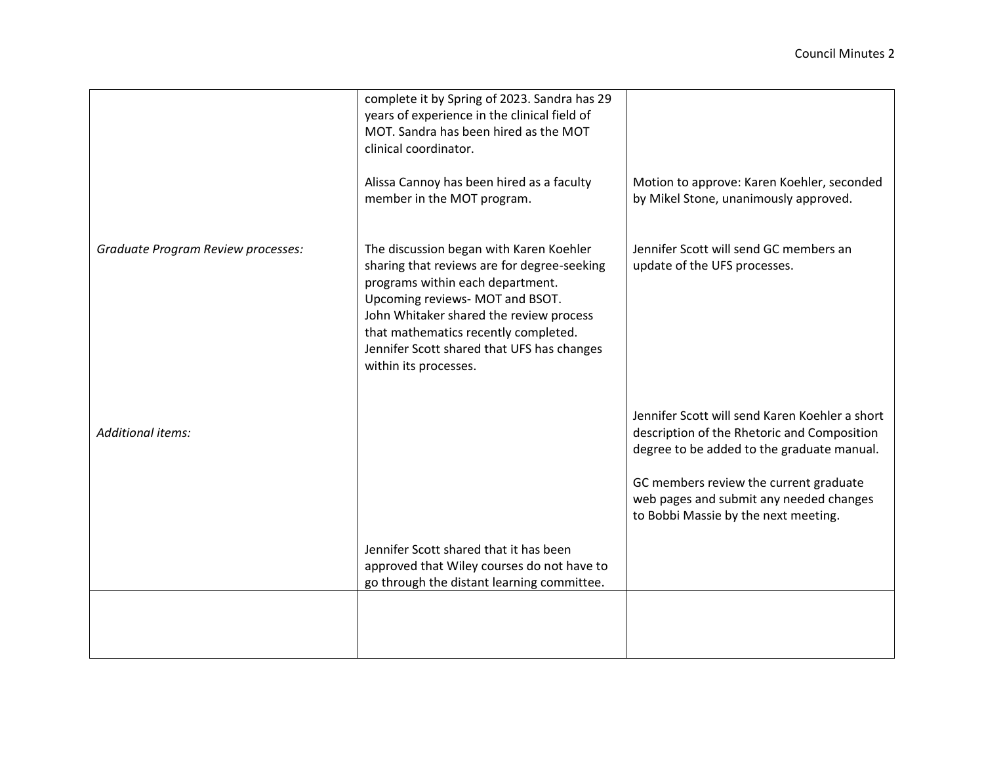|                                    | complete it by Spring of 2023. Sandra has 29<br>years of experience in the clinical field of                                                                                                                                                                                                                            |                                                                                                                                             |
|------------------------------------|-------------------------------------------------------------------------------------------------------------------------------------------------------------------------------------------------------------------------------------------------------------------------------------------------------------------------|---------------------------------------------------------------------------------------------------------------------------------------------|
|                                    | MOT. Sandra has been hired as the MOT<br>clinical coordinator.                                                                                                                                                                                                                                                          |                                                                                                                                             |
|                                    | Alissa Cannoy has been hired as a faculty<br>member in the MOT program.                                                                                                                                                                                                                                                 | Motion to approve: Karen Koehler, seconded<br>by Mikel Stone, unanimously approved.                                                         |
| Graduate Program Review processes: | The discussion began with Karen Koehler<br>sharing that reviews are for degree-seeking<br>programs within each department.<br>Upcoming reviews- MOT and BSOT.<br>John Whitaker shared the review process<br>that mathematics recently completed.<br>Jennifer Scott shared that UFS has changes<br>within its processes. | Jennifer Scott will send GC members an<br>update of the UFS processes.                                                                      |
| <b>Additional items:</b>           |                                                                                                                                                                                                                                                                                                                         | Jennifer Scott will send Karen Koehler a short<br>description of the Rhetoric and Composition<br>degree to be added to the graduate manual. |
|                                    |                                                                                                                                                                                                                                                                                                                         | GC members review the current graduate<br>web pages and submit any needed changes<br>to Bobbi Massie by the next meeting.                   |
|                                    | Jennifer Scott shared that it has been<br>approved that Wiley courses do not have to                                                                                                                                                                                                                                    |                                                                                                                                             |
|                                    | go through the distant learning committee.                                                                                                                                                                                                                                                                              |                                                                                                                                             |
|                                    |                                                                                                                                                                                                                                                                                                                         |                                                                                                                                             |
|                                    |                                                                                                                                                                                                                                                                                                                         |                                                                                                                                             |